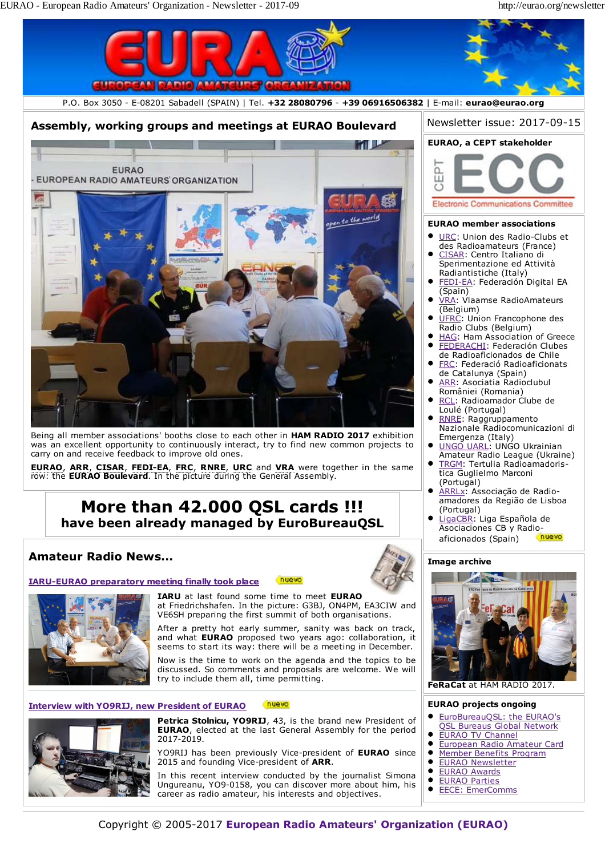